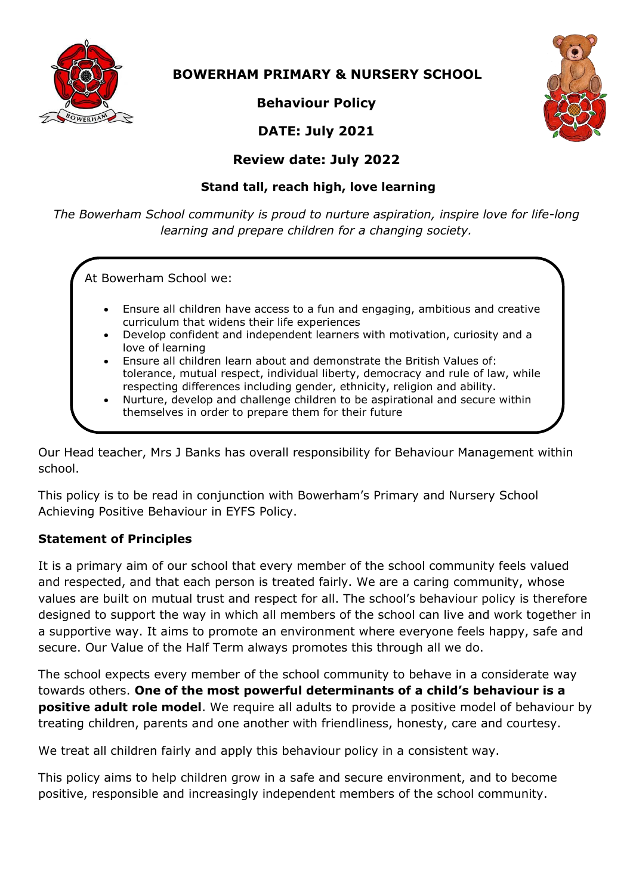

 **BOWERHAM PRIMARY & NURSERY SCHOOL**

**Behaviour Policy**





# **Review date: July 2022**

# **Stand tall, reach high, love learning**

*The Bowerham School community is proud to nurture aspiration, inspire love for life-long learning and prepare children for a changing society.*

At Bowerham School we:

- Ensure all children have access to a fun and engaging, ambitious and creative curriculum that widens their life experiences
- Develop confident and independent learners with motivation, curiosity and a love of learning
- Ensure all children learn about and demonstrate the British Values of: tolerance, mutual respect, individual liberty, democracy and rule of law, while respecting differences including gender, ethnicity, religion and ability.
- Nurture, develop and challenge children to be aspirational and secure within themselves in order to prepare them for their future

Our Head teacher, Mrs J Banks has overall responsibility for Behaviour Management within school.

This policy is to be read in conjunction with Bowerham's Primary and Nursery School Achieving Positive Behaviour in EYFS Policy.

# **Statement of Principles**

It is a primary aim of our school that every member of the school community feels valued and respected, and that each person is treated fairly. We are a caring community, whose values are built on mutual trust and respect for all. The school's behaviour policy is therefore designed to support the way in which all members of the school can live and work together in a supportive way. It aims to promote an environment where everyone feels happy, safe and secure. Our Value of the Half Term always promotes this through all we do.

The school expects every member of the school community to behave in a considerate way towards others. **One of the most powerful determinants of a child's behaviour is a positive adult role model**. We require all adults to provide a positive model of behaviour by treating children, parents and one another with friendliness, honesty, care and courtesy.

We treat all children fairly and apply this behaviour policy in a consistent way.

This policy aims to help children grow in a safe and secure environment, and to become positive, responsible and increasingly independent members of the school community.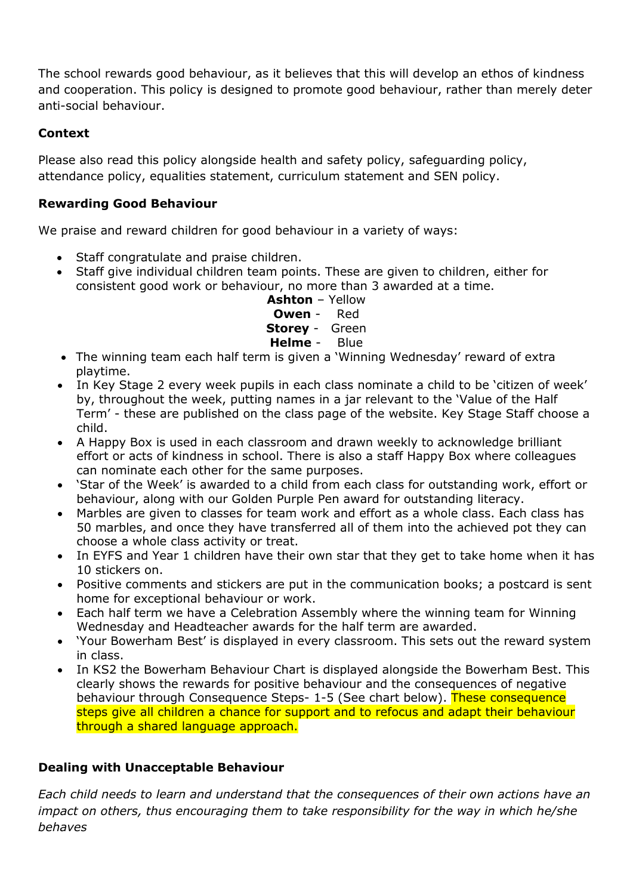The school rewards good behaviour, as it believes that this will develop an ethos of kindness and cooperation. This policy is designed to promote good behaviour, rather than merely deter anti-social behaviour.

## **Context**

Please also read this policy alongside health and safety policy, safeguarding policy, attendance policy, equalities statement, curriculum statement and SEN policy.

# **Rewarding Good Behaviour**

We praise and reward children for good behaviour in a variety of ways:

- Staff congratulate and praise children.
- Staff give individual children team points. These are given to children, either for consistent good work or behaviour, no more than 3 awarded at a time.

## **Ashton** – Yellow **Owen** - Red **Storey** - Green **Helme** - Blue

- The winning team each half term is given a 'Winning Wednesday' reward of extra playtime.
- In Key Stage 2 every week pupils in each class nominate a child to be 'citizen of week' by, throughout the week, putting names in a jar relevant to the 'Value of the Half Term' - these are published on the class page of the website. Key Stage Staff choose a child.
- A Happy Box is used in each classroom and drawn weekly to acknowledge brilliant effort or acts of kindness in school. There is also a staff Happy Box where colleagues can nominate each other for the same purposes.
- 'Star of the Week' is awarded to a child from each class for outstanding work, effort or behaviour, along with our Golden Purple Pen award for outstanding literacy.
- Marbles are given to classes for team work and effort as a whole class. Each class has 50 marbles, and once they have transferred all of them into the achieved pot they can choose a whole class activity or treat.
- In EYFS and Year 1 children have their own star that they get to take home when it has 10 stickers on.
- Positive comments and stickers are put in the communication books; a postcard is sent home for exceptional behaviour or work.
- Each half term we have a Celebration Assembly where the winning team for Winning Wednesday and Headteacher awards for the half term are awarded.
- 'Your Bowerham Best' is displayed in every classroom. This sets out the reward system in class.
- In KS2 the Bowerham Behaviour Chart is displayed alongside the Bowerham Best. This clearly shows the rewards for positive behaviour and the consequences of negative behaviour through Consequence Steps- 1-5 (See chart below). These consequence steps give all children a chance for support and to refocus and adapt their behaviour through a shared language approach.

# **Dealing with Unacceptable Behaviour**

*Each child needs to learn and understand that the consequences of their own actions have an impact on others, thus encouraging them to take responsibility for the way in which he/she behaves*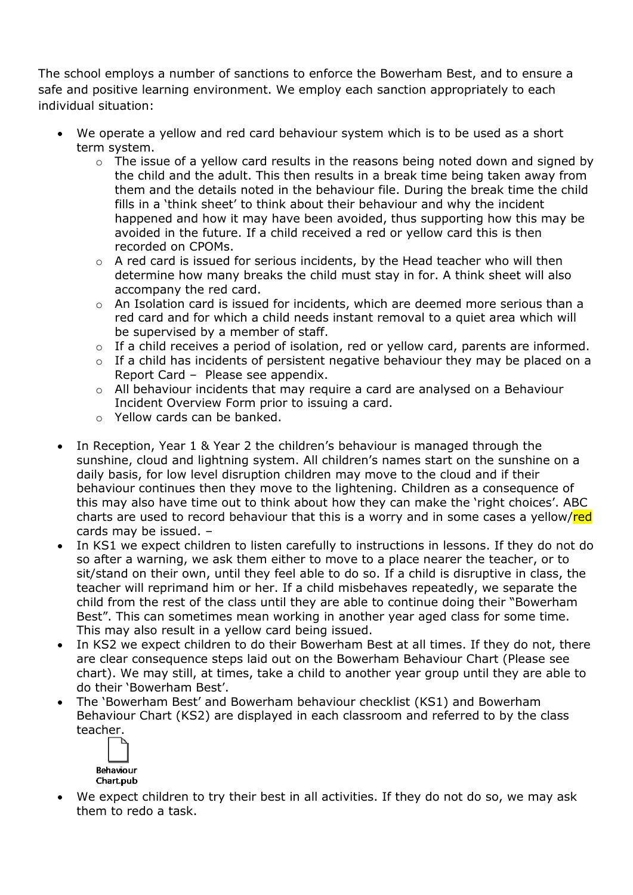The school employs a number of sanctions to enforce the Bowerham Best, and to ensure a safe and positive learning environment. We employ each sanction appropriately to each individual situation:

- We operate a yellow and red card behaviour system which is to be used as a short term system.
	- $\circ$  The issue of a yellow card results in the reasons being noted down and signed by the child and the adult. This then results in a break time being taken away from them and the details noted in the behaviour file. During the break time the child fills in a 'think sheet' to think about their behaviour and why the incident happened and how it may have been avoided, thus supporting how this may be avoided in the future. If a child received a red or yellow card this is then recorded on CPOMs.
	- o A red card is issued for serious incidents, by the Head teacher who will then determine how many breaks the child must stay in for. A think sheet will also accompany the red card.
	- $\circ$  An Isolation card is issued for incidents, which are deemed more serious than a red card and for which a child needs instant removal to a quiet area which will be supervised by a member of staff.
	- o If a child receives a period of isolation, red or yellow card, parents are informed.
	- $\circ$  If a child has incidents of persistent negative behaviour they may be placed on a Report Card – Please see appendix.
	- o All behaviour incidents that may require a card are analysed on a Behaviour Incident Overview Form prior to issuing a card.
	- o Yellow cards can be banked.
- In Reception, Year 1 & Year 2 the children's behaviour is managed through the sunshine, cloud and lightning system. All children's names start on the sunshine on a daily basis, for low level disruption children may move to the cloud and if their behaviour continues then they move to the lightening. Children as a consequence of this may also have time out to think about how they can make the 'right choices'. ABC charts are used to record behaviour that this is a worry and in some cases a yellow/red cards may be issued. –
- In KS1 we expect children to listen carefully to instructions in lessons. If they do not do so after a warning, we ask them either to move to a place nearer the teacher, or to sit/stand on their own, until they feel able to do so. If a child is disruptive in class, the teacher will reprimand him or her. If a child misbehaves repeatedly, we separate the child from the rest of the class until they are able to continue doing their "Bowerham Best". This can sometimes mean working in another year aged class for some time. This may also result in a yellow card being issued.
- In KS2 we expect children to do their Bowerham Best at all times. If they do not, there are clear consequence steps laid out on the Bowerham Behaviour Chart (Please see chart). We may still, at times, take a child to another year group until they are able to do their 'Bowerham Best'.
- The 'Bowerham Best' and Bowerham behaviour checklist (KS1) and Bowerham Behaviour Chart (KS2) are displayed in each classroom and referred to by the class teacher.



 We expect children to try their best in all activities. If they do not do so, we may ask them to redo a task.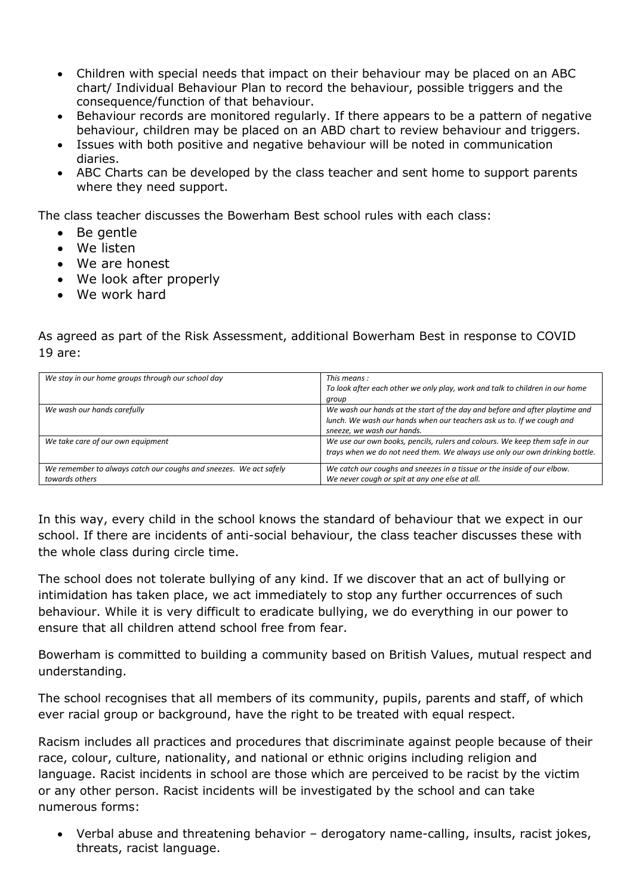- Children with special needs that impact on their behaviour may be placed on an ABC chart/ Individual Behaviour Plan to record the behaviour, possible triggers and the consequence/function of that behaviour.
- Behaviour records are monitored regularly. If there appears to be a pattern of negative behaviour, children may be placed on an ABD chart to review behaviour and triggers.
- Issues with both positive and negative behaviour will be noted in communication diaries.
- ABC Charts can be developed by the class teacher and sent home to support parents where they need support.

The class teacher discusses the Bowerham Best school rules with each class:

- Be gentle
- We listen
- We are honest
- We look after properly
- We work hard

As agreed as part of the Risk Assessment, additional Bowerham Best in response to COVID 19 are:

| We stay in our home groups through our school day                 | This means:                                                                  |
|-------------------------------------------------------------------|------------------------------------------------------------------------------|
|                                                                   | To look after each other we only play, work and talk to children in our home |
|                                                                   | group                                                                        |
| We wash our hands carefully                                       | We wash our hands at the start of the day and before and after playtime and  |
|                                                                   | lunch. We wash our hands when our teachers ask us to. If we cough and        |
|                                                                   | sneeze, we wash our hands.                                                   |
| We take care of our own equipment                                 | We use our own books, pencils, rulers and colours. We keep them safe in our  |
|                                                                   | trays when we do not need them. We always use only our own drinking bottle.  |
|                                                                   |                                                                              |
| We remember to always catch our coughs and sneezes. We act safely | We catch our coughs and sneezes in a tissue or the inside of our elbow.      |
| towards others                                                    | We never cough or spit at any one else at all.                               |

In this way, every child in the school knows the standard of behaviour that we expect in our school. If there are incidents of anti-social behaviour, the class teacher discusses these with the whole class during circle time.

The school does not tolerate bullying of any kind. If we discover that an act of bullying or intimidation has taken place, we act immediately to stop any further occurrences of such behaviour. While it is very difficult to eradicate bullying, we do everything in our power to ensure that all children attend school free from fear.

Bowerham is committed to building a community based on British Values, mutual respect and understanding.

The school recognises that all members of its community, pupils, parents and staff, of which ever racial group or background, have the right to be treated with equal respect.

Racism includes all practices and procedures that discriminate against people because of their race, colour, culture, nationality, and national or ethnic origins including religion and language. Racist incidents in school are those which are perceived to be racist by the victim or any other person. Racist incidents will be investigated by the school and can take numerous forms:

 Verbal abuse and threatening behavior – derogatory name-calling, insults, racist jokes, threats, racist language.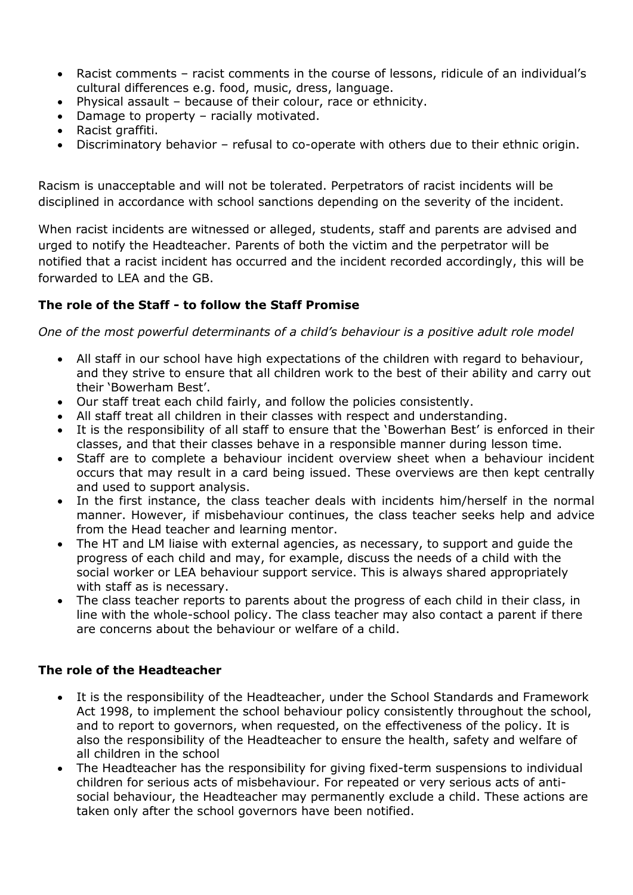- Racist comments racist comments in the course of lessons, ridicule of an individual's cultural differences e.g. food, music, dress, language.
- Physical assault because of their colour, race or ethnicity.
- Damage to property racially motivated.
- Racist graffiti.
- Discriminatory behavior refusal to co-operate with others due to their ethnic origin.

Racism is unacceptable and will not be tolerated. Perpetrators of racist incidents will be disciplined in accordance with school sanctions depending on the severity of the incident.

When racist incidents are witnessed or alleged, students, staff and parents are advised and urged to notify the Headteacher. Parents of both the victim and the perpetrator will be notified that a racist incident has occurred and the incident recorded accordingly, this will be forwarded to LEA and the GB.

## **The role of the Staff - to follow the Staff Promise**

*One of the most powerful determinants of a child's behaviour is a positive adult role model*

- All staff in our school have high expectations of the children with regard to behaviour, and they strive to ensure that all children work to the best of their ability and carry out their 'Bowerham Best'.
- Our staff treat each child fairly, and follow the policies consistently.
- All staff treat all children in their classes with respect and understanding.
- It is the responsibility of all staff to ensure that the 'Bowerhan Best' is enforced in their classes, and that their classes behave in a responsible manner during lesson time.
- Staff are to complete a behaviour incident overview sheet when a behaviour incident occurs that may result in a card being issued. These overviews are then kept centrally and used to support analysis.
- In the first instance, the class teacher deals with incidents him/herself in the normal manner. However, if misbehaviour continues, the class teacher seeks help and advice from the Head teacher and learning mentor.
- The HT and LM liaise with external agencies, as necessary, to support and guide the progress of each child and may, for example, discuss the needs of a child with the social worker or LEA behaviour support service. This is always shared appropriately with staff as is necessary.
- The class teacher reports to parents about the progress of each child in their class, in line with the whole-school policy. The class teacher may also contact a parent if there are concerns about the behaviour or welfare of a child.

## **The role of the Headteacher**

- It is the responsibility of the Headteacher, under the School Standards and Framework Act 1998, to implement the school behaviour policy consistently throughout the school, and to report to governors, when requested, on the effectiveness of the policy. It is also the responsibility of the Headteacher to ensure the health, safety and welfare of all children in the school
- The Headteacher has the responsibility for giving fixed-term suspensions to individual children for serious acts of misbehaviour. For repeated or very serious acts of antisocial behaviour, the Headteacher may permanently exclude a child. These actions are taken only after the school governors have been notified.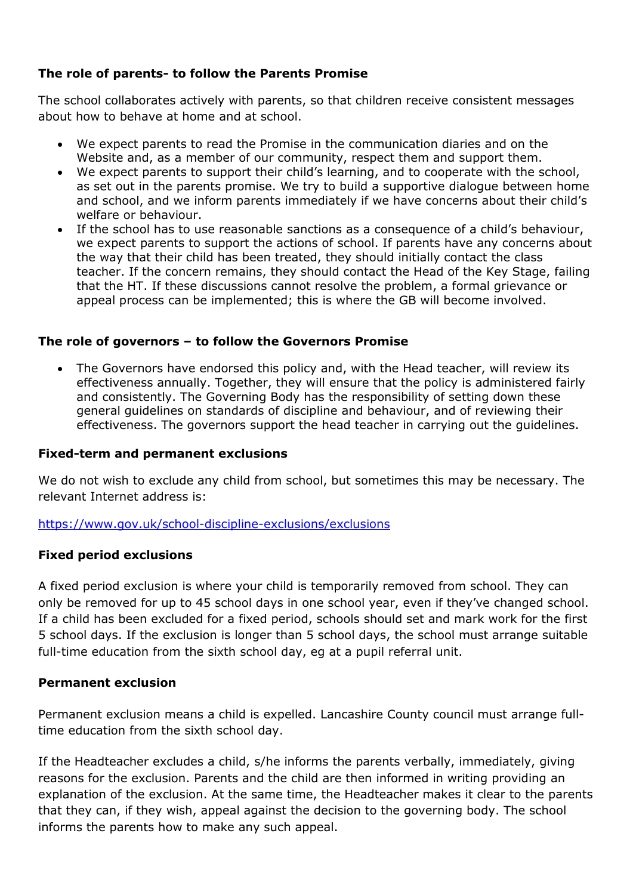## **The role of parents- to follow the Parents Promise**

The school collaborates actively with parents, so that children receive consistent messages about how to behave at home and at school.

- We expect parents to read the Promise in the communication diaries and on the Website and, as a member of our community, respect them and support them.
- We expect parents to support their child's learning, and to cooperate with the school, as set out in the parents promise. We try to build a supportive dialogue between home and school, and we inform parents immediately if we have concerns about their child's welfare or behaviour.
- If the school has to use reasonable sanctions as a consequence of a child's behaviour, we expect parents to support the actions of school. If parents have any concerns about the way that their child has been treated, they should initially contact the class teacher. If the concern remains, they should contact the Head of the Key Stage, failing that the HT. If these discussions cannot resolve the problem, a formal grievance or appeal process can be implemented; this is where the GB will become involved.

### **The role of governors – to follow the Governors Promise**

 The Governors have endorsed this policy and, with the Head teacher, will review its effectiveness annually. Together, they will ensure that the policy is administered fairly and consistently. The Governing Body has the responsibility of setting down these general guidelines on standards of discipline and behaviour, and of reviewing their effectiveness. The governors support the head teacher in carrying out the guidelines.

#### **Fixed-term and permanent exclusions**

We do not wish to exclude any child from school, but sometimes this may be necessary. The relevant Internet address is:

<https://www.gov.uk/school-discipline-exclusions/exclusions>

#### **Fixed period exclusions**

A fixed period exclusion is where your child is temporarily removed from school. They can only be removed for up to 45 school days in one school year, even if they've changed school. If a child has been excluded for a fixed period, schools should set and mark work for the first 5 school days. If the exclusion is longer than 5 school days, the school must arrange suitable full-time education from the sixth school day, eg at a pupil referral unit.

#### **Permanent exclusion**

Permanent exclusion means a child is expelled. Lancashire County council must arrange fulltime education from the sixth school day.

If the Headteacher excludes a child, s/he informs the parents verbally, immediately, giving reasons for the exclusion. Parents and the child are then informed in writing providing an explanation of the exclusion. At the same time, the Headteacher makes it clear to the parents that they can, if they wish, appeal against the decision to the governing body. The school informs the parents how to make any such appeal.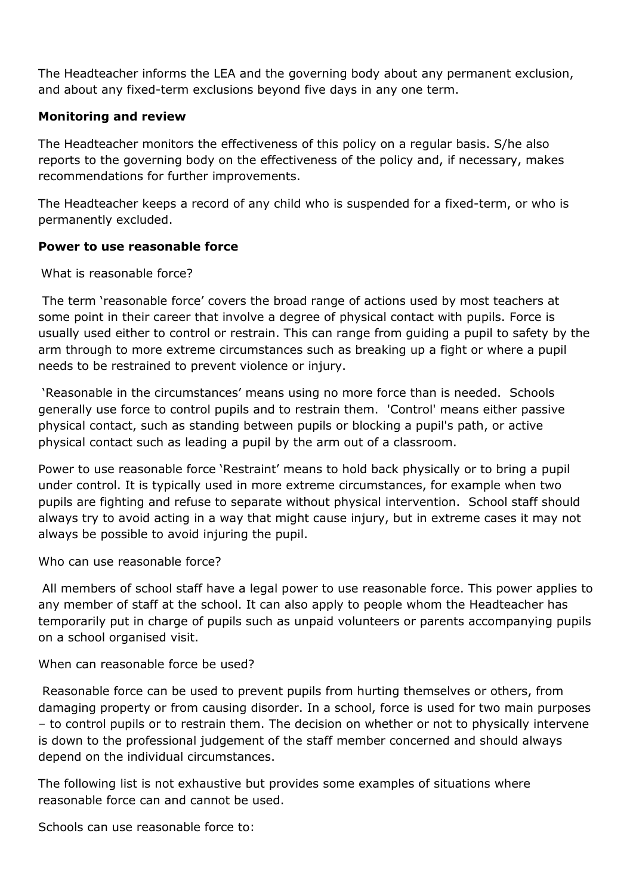The Headteacher informs the LEA and the governing body about any permanent exclusion, and about any fixed-term exclusions beyond five days in any one term.

### **Monitoring and review**

The Headteacher monitors the effectiveness of this policy on a regular basis. S/he also reports to the governing body on the effectiveness of the policy and, if necessary, makes recommendations for further improvements.

The Headteacher keeps a record of any child who is suspended for a fixed-term, or who is permanently excluded.

### **Power to use reasonable force**

What is reasonable force?

The term 'reasonable force' covers the broad range of actions used by most teachers at some point in their career that involve a degree of physical contact with pupils. Force is usually used either to control or restrain. This can range from guiding a pupil to safety by the arm through to more extreme circumstances such as breaking up a fight or where a pupil needs to be restrained to prevent violence or injury.

'Reasonable in the circumstances' means using no more force than is needed. Schools generally use force to control pupils and to restrain them. 'Control' means either passive physical contact, such as standing between pupils or blocking a pupil's path, or active physical contact such as leading a pupil by the arm out of a classroom.

Power to use reasonable force 'Restraint' means to hold back physically or to bring a pupil under control. It is typically used in more extreme circumstances, for example when two pupils are fighting and refuse to separate without physical intervention. School staff should always try to avoid acting in a way that might cause injury, but in extreme cases it may not always be possible to avoid injuring the pupil.

Who can use reasonable force?

All members of school staff have a legal power to use reasonable force. This power applies to any member of staff at the school. It can also apply to people whom the Headteacher has temporarily put in charge of pupils such as unpaid volunteers or parents accompanying pupils on a school organised visit.

When can reasonable force be used?

Reasonable force can be used to prevent pupils from hurting themselves or others, from damaging property or from causing disorder. In a school, force is used for two main purposes – to control pupils or to restrain them. The decision on whether or not to physically intervene is down to the professional judgement of the staff member concerned and should always depend on the individual circumstances.

The following list is not exhaustive but provides some examples of situations where reasonable force can and cannot be used.

Schools can use reasonable force to: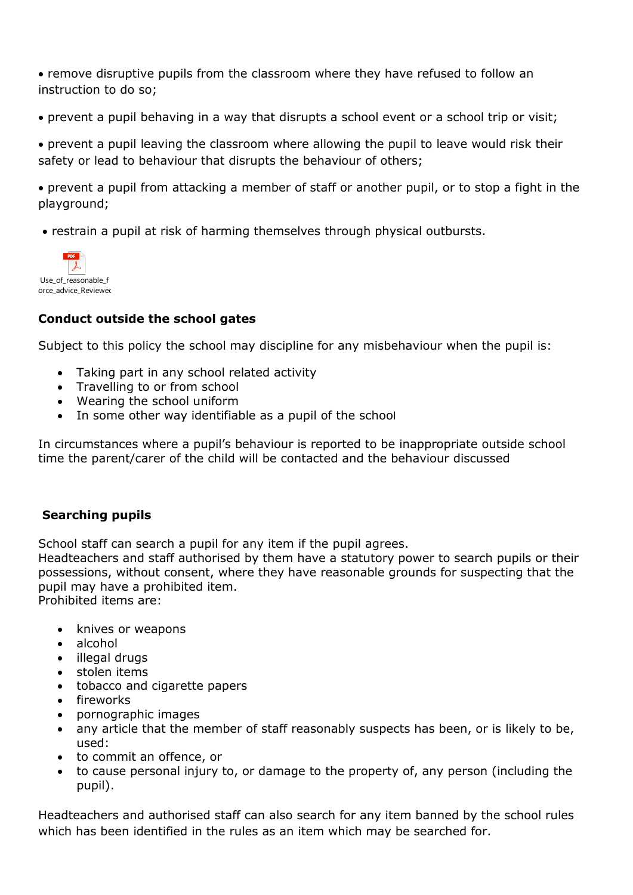remove disruptive pupils from the classroom where they have refused to follow an instruction to do so;

prevent a pupil behaving in a way that disrupts a school event or a school trip or visit;

 prevent a pupil leaving the classroom where allowing the pupil to leave would risk their safety or lead to behaviour that disrupts the behaviour of others;

 prevent a pupil from attacking a member of staff or another pupil, or to stop a fight in the playground;

restrain a pupil at risk of harming themselves through physical outbursts.



### **Conduct outside the school gates**

Subject to this policy the school may discipline for any misbehaviour when the pupil is:

- Taking part in any school related activity
- Travelling to or from school
- Wearing the school uniform
- In some other way identifiable as a pupil of the school

In circumstances where a pupil's behaviour is reported to be inappropriate outside school time the parent/carer of the child will be contacted and the behaviour discussed

#### **Searching pupils**

School staff can search a pupil for any item if the pupil agrees.

Headteachers and staff authorised by them have a statutory power to search pupils or their possessions, without consent, where they have reasonable grounds for suspecting that the pupil may have a prohibited item.

Prohibited items are:

- knives or weapons
- alcohol
- illegal drugs
- stolen items
- tobacco and cigarette papers
- fireworks
- pornographic images
- any article that the member of staff reasonably suspects has been, or is likely to be, used:
- to commit an offence, or
- to cause personal injury to, or damage to the property of, any person (including the pupil).

Headteachers and authorised staff can also search for any item banned by the school rules which has been identified in the rules as an item which may be searched for.